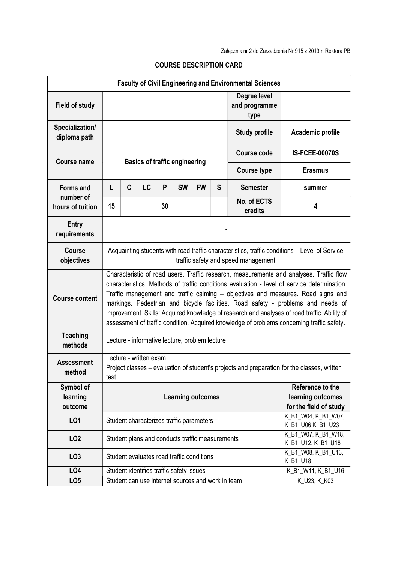|                                  |                                                                                                                                                                                                                                                                                                                                                                                                                                                                                                                                                              |   |    |    |                                                 |           |                    | <b>Faculty of Civil Engineering and Environmental Sciences</b> |                                           |
|----------------------------------|--------------------------------------------------------------------------------------------------------------------------------------------------------------------------------------------------------------------------------------------------------------------------------------------------------------------------------------------------------------------------------------------------------------------------------------------------------------------------------------------------------------------------------------------------------------|---|----|----|-------------------------------------------------|-----------|--------------------|----------------------------------------------------------------|-------------------------------------------|
| <b>Field of study</b>            |                                                                                                                                                                                                                                                                                                                                                                                                                                                                                                                                                              |   |    |    |                                                 |           |                    | Degree level<br>and programme<br>type                          |                                           |
| Specialization/<br>diploma path  |                                                                                                                                                                                                                                                                                                                                                                                                                                                                                                                                                              |   |    |    |                                                 |           |                    | <b>Study profile</b>                                           | Academic profile                          |
| <b>Course name</b>               | <b>Basics of traffic engineering</b>                                                                                                                                                                                                                                                                                                                                                                                                                                                                                                                         |   |    |    |                                                 |           | <b>Course code</b> | <b>IS-FCEE-00070S</b>                                          |                                           |
|                                  |                                                                                                                                                                                                                                                                                                                                                                                                                                                                                                                                                              |   |    |    |                                                 |           |                    | <b>Course type</b>                                             | <b>Erasmus</b>                            |
| <b>Forms and</b>                 | L                                                                                                                                                                                                                                                                                                                                                                                                                                                                                                                                                            | C | LC | P  | <b>SW</b>                                       | <b>FW</b> | S                  | <b>Semester</b>                                                | summer                                    |
| number of<br>hours of tuition    | 15                                                                                                                                                                                                                                                                                                                                                                                                                                                                                                                                                           |   |    | 30 |                                                 |           |                    | No. of ECTS<br>credits                                         | 4                                         |
| <b>Entry</b><br>requirements     |                                                                                                                                                                                                                                                                                                                                                                                                                                                                                                                                                              |   |    |    |                                                 |           |                    |                                                                |                                           |
| <b>Course</b><br>objectives      | Acquainting students with road traffic characteristics, traffic conditions – Level of Service,<br>traffic safety and speed management.                                                                                                                                                                                                                                                                                                                                                                                                                       |   |    |    |                                                 |           |                    |                                                                |                                           |
| <b>Course content</b>            | Characteristic of road users. Traffic research, measurements and analyses. Traffic flow<br>characteristics. Methods of traffic conditions evaluation - level of service determination.<br>Traffic management and traffic calming - objectives and measures. Road signs and<br>markings. Pedestrian and bicycle facilities. Road safety - problems and needs of<br>improvement. Skills: Acquired knowledge of research and analyses of road traffic. Ability of<br>assessment of traffic condition. Acquired knowledge of problems concerning traffic safety. |   |    |    |                                                 |           |                    |                                                                |                                           |
| <b>Teaching</b><br>methods       | Lecture - informative lecture, problem lecture                                                                                                                                                                                                                                                                                                                                                                                                                                                                                                               |   |    |    |                                                 |           |                    |                                                                |                                           |
| <b>Assessment</b><br>method      | Lecture - written exam<br>Project classes – evaluation of student's projects and preparation for the classes, written<br>test                                                                                                                                                                                                                                                                                                                                                                                                                                |   |    |    |                                                 |           |                    |                                                                |                                           |
| Symbol of<br>learning<br>outcome | Reference to the<br>learning outcomes<br><b>Learning outcomes</b><br>for the field of study                                                                                                                                                                                                                                                                                                                                                                                                                                                                  |   |    |    |                                                 |           |                    |                                                                |                                           |
| L <sub>01</sub>                  |                                                                                                                                                                                                                                                                                                                                                                                                                                                                                                                                                              |   |    |    | Student characterizes traffic parameters        |           |                    |                                                                | K_B1_W04, K_B1_W07,<br>K_B1_U06 K_B1_U23  |
| LO <sub>2</sub>                  |                                                                                                                                                                                                                                                                                                                                                                                                                                                                                                                                                              |   |    |    | Student plans and conducts traffic measurements |           |                    |                                                                | K_B1_W07, K_B1_W18,<br>K_B1_U12, K_B1_U18 |
| LO <sub>3</sub>                  | K_B1_W08, K_B1_U13,<br>Student evaluates road traffic conditions                                                                                                                                                                                                                                                                                                                                                                                                                                                                                             |   |    |    |                                                 |           | K_B1_U18           |                                                                |                                           |
| LO <sub>4</sub>                  | Student identifies traffic safety issues<br>K_B1_W11, K_B1_U16                                                                                                                                                                                                                                                                                                                                                                                                                                                                                               |   |    |    |                                                 |           |                    |                                                                |                                           |
| LO <sub>5</sub>                  | Student can use internet sources and work in team<br>K_U23, K_K03                                                                                                                                                                                                                                                                                                                                                                                                                                                                                            |   |    |    |                                                 |           |                    |                                                                |                                           |

## COURSE DESCRIPTION CARD